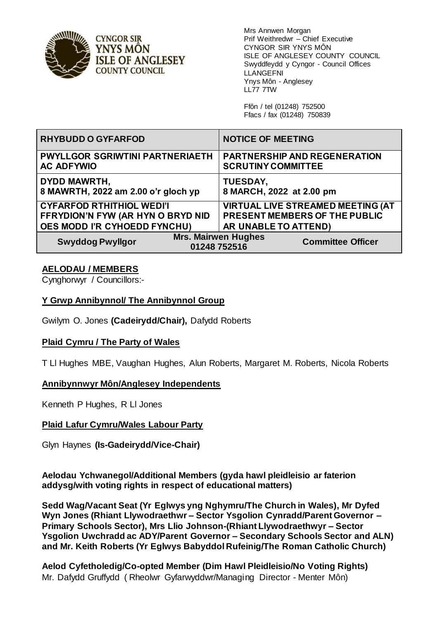

**CYNGOR SIR** YNYS MÖN **ISLE OF ANGLESEY COUNTY COUNCIL** 

Mrs Annwen Morgan Prif Weithredwr – Chief Executive CYNGOR SIR YNYS MÔN ISLE OF ANGLESEY COUNTY COUNCIL Swyddfeydd y Cyngor - Council Offices LLANGEFNI Ynys Môn - Anglesey LL77 7TW

Ffôn / tel (01248) 752500 Ffacs / fax (01248) 750839

| <b>RHYBUDD O GYFARFOD</b>                                   | <b>NOTICE OF MEETING</b>                                               |
|-------------------------------------------------------------|------------------------------------------------------------------------|
| <b>PWYLLGOR SGRIWTINI PARTNERIAETH</b><br><b>AC ADFYWIO</b> | <b>PARTNERSHIP AND REGENERATION</b><br><b>SCRUTINY COMMITTEE</b>       |
| <b>DYDD MAWRTH,</b><br>8 MAWRTH, 2022 am 2.00 o'r gloch yp  | <b>TUESDAY,</b><br>8 MARCH, 2022 at 2.00 pm                            |
| <b>CYFARFOD RTHITHIOL WEDI'I</b>                            | <b>VIRTUAL LIVE STREAMED MEETING (AT</b>                               |
| FFRYDION'N FYW (AR HYN O BRYD NID                           | PRESENT MEMBERS OF THE PUBLIC                                          |
| OES MODD I'R CYHOEDD FYNCHU)                                | AR UNABLE TO ATTEND)                                                   |
| <b>Swyddog Pwyllgor</b>                                     | <b>Mrs. Mairwen Hughes</b><br><b>Committee Officer</b><br>01248 752516 |

# **AELODAU / MEMBERS**

Cynghorwyr / Councillors:-

# **Y Grwp Annibynnol/ The Annibynnol Group**

Gwilym O. Jones **(Cadeirydd/Chair),** Dafydd Roberts

## **Plaid Cymru / The Party of Wales**

T Ll Hughes MBE, Vaughan Hughes, Alun Roberts, Margaret M. Roberts, Nicola Roberts

## **Annibynnwyr Môn/Anglesey Independents**

Kenneth P Hughes, R Ll Jones

## **Plaid Lafur Cymru/Wales Labour Party**

Glyn Haynes **(Is-Gadeirydd/Vice-Chair)**

**Aelodau Ychwanegol/Additional Members (gyda hawl pleidleisio ar faterion addysg/with voting rights in respect of educational matters)** 

**Sedd Wag/Vacant Seat (Yr Eglwys yng Nghymru/The Church in Wales), Mr Dyfed Wyn Jones (Rhiant Llywodraethwr – Sector Ysgolion Cynradd/Parent Governor – Primary Schools Sector), Mrs Llio Johnson-(Rhiant Llywodraethwyr – Sector Ysgolion Uwchradd ac ADY/Parent Governor – Secondary Schools Sector and ALN) and Mr. Keith Roberts (Yr Eglwys Babyddol Rufeinig/The Roman Catholic Church)** 

**Aelod Cyfetholedig/Co-opted Member (Dim Hawl Pleidleisio/No Voting Rights)**  Mr. Dafydd Gruffydd ( Rheolwr Gyfarwyddwr/Managing Director - Menter Môn)